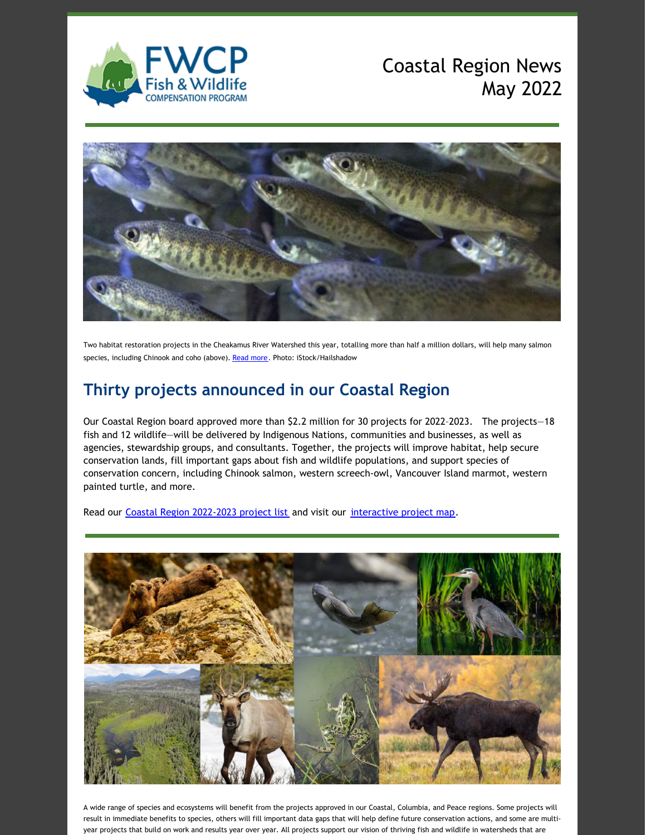

# Coastal Region News May 2022



Two habitat restoration projects in the Cheakamus River Watershed this year, totalling more than half a million dollars, will help many salmon species, including Chinook and coho (above). [Read](https://fwcp.ca/projectlists/) more. Photo: iStock/Hailshadow

## **Thirty projects announced in our Coastal Region**

Our Coastal Region board approved more than \$2.2 million for 30 projects for 2022–2023. The projects—18 fish and 12 wildlife—will be delivered by Indigenous Nations, communities and businesses, as well as agencies, stewardship groups, and consultants. Together, the projects will improve habitat, help secure conservation lands, fill important gaps about fish and wildlife populations, and support species of conservation concern, including Chinook salmon, western screech-owl, Vancouver Island marmot, western painted turtle, and more.

Read our Coastal Region [2022-2023](https://fwcp.ca/projectlists/) project list and visit our [interactive](https://fwcp.ca/region/coastal-region/) project map.



A wide range of species and ecosystems will benefit from the projects approved in our Coastal, Columbia, and Peace regions. Some projects will result in immediate benefits to species, others will fill important data gaps that will help define future conservation actions, and some are multiyear projects that build on work and results year over year. All projects support our vision of thriving fish and wildlife in watersheds that are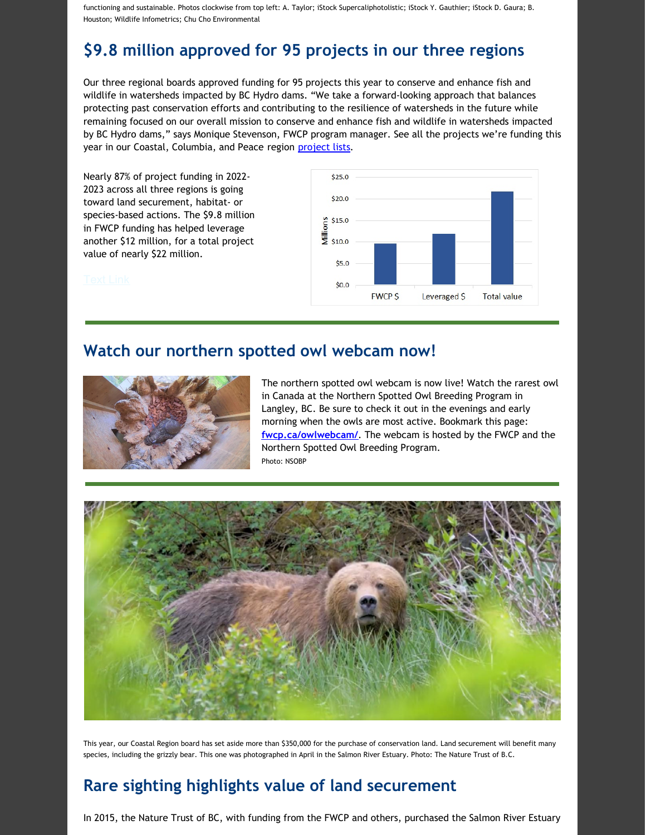functioning and sustainable. Photos clockwise from top left: A. Taylor; iStock Supercaliphotolistic; iStock Y. Gauthier; iStock D. Gaura; B. Houston; Wildlife Infometrics; Chu Cho Environmental

## **\$9.8 million approved for 95 projects in our three regions**

Our three regional boards approved funding for 95 projects this year to conserve and enhance fish and wildlife in watersheds impacted by BC Hydro dams. "We take a forward-looking approach that balances protecting past conservation efforts and contributing to the resilience of watersheds in the future while remaining focused on our overall mission to conserve and enhance fish and wildlife in watersheds impacted by BC Hydro dams," says Monique Stevenson, FWCP program manager. See all the projects we're funding this year in our Coastal, Columbia, and Peace region [project](https://fwcp.ca/projectlists/) lists.

Nearly 87% of project funding in 2022- 2023 across all three regions is going toward land securement, habitat- or species-based actions. The \$9.8 million in FWCP funding has helped leverage another \$12 million, for a total project value of nearly \$22 million.



#### **Watch our northern spotted owl webcam now!**



The northern spotted owl webcam is now live! Watch the rarest owl in Canada at the Northern Spotted Owl Breeding Program in Langley, BC. Be sure to check it out in the evenings and early morning when the owls are most active. Bookmark this page: **[fwcp.ca/owlwebcam/](https://r20.rs6.net/tn.jsp?f=001e8A8VgkbQDK5LBCtFXfEeGfe_IrXE5Ri5wrfcnjgnc-ZB2VlfnglZaSEvivdMm7m9yLSnAfI1MA3YCQh83r6zS4wm0tbQSNVyT5fx1OxZ3aieYomwyCgTLP6Lr5B-ZO_1YvLKoaHkM4xwaty1PcWrQ==&c=K6zgkpd9s2y83-RnCw1X9JYMAqCGhzBfPPXjXuO-UBgkFK98y6f8wg==&ch=fIp-L6mIdzK8S-jGdaNvTh4_0ZAW700iNd_0-9-i8YSxVX6cRt_B7Q==)**. The webcam is hosted by the FWCP and the Northern Spotted Owl Breeding Program. Photo: NSOBP



This year, our Coastal Region board has set aside more than \$350,000 for the purchase of conservation land. Land securement will benefit many species, including the grizzly bear. This one was photographed in April in the Salmon River Estuary. Photo: The Nature Trust of B.C.

### **Rare sighting highlights value of land securement**

In 2015, the Nature Trust of BC, with funding from the FWCP and others, purchased the Salmon River Estuary